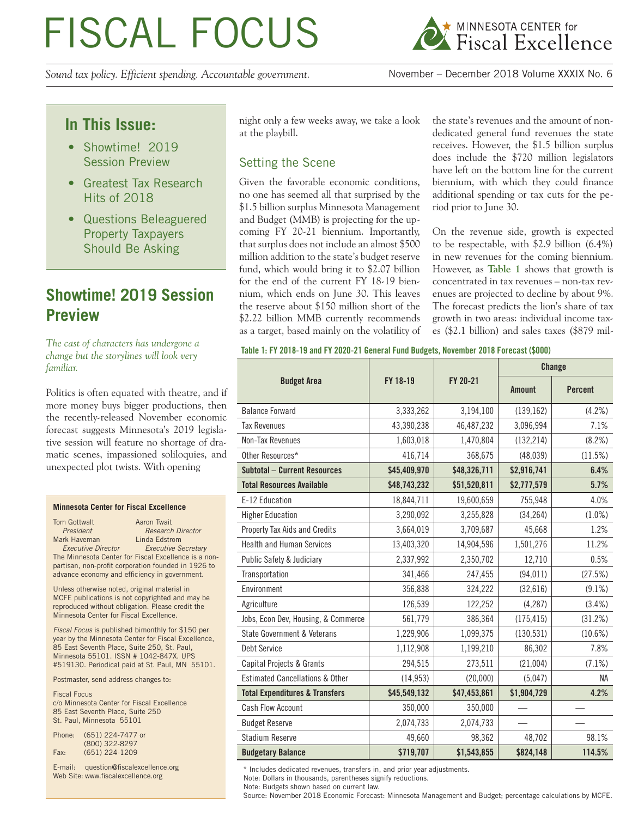# FISCAL FOCUS

*Sound tax policy. Efficient spending. Accountable government.* November – December 2018 Volume XXXIX No. 6



## **In This Issue:**

- Showtime! 2019 Session Preview
- Greatest Tax Research Hits of 2018
- Questions Beleaguered Property Taxpayers Should Be Asking

## **Showtime! 2019 Session Preview**

*The cast of characters has undergone a change but the storylines will look very familiar.*

Politics is often equated with theatre, and if more money buys bigger productions, then the recently-released November economic forecast suggests Minnesota's 2019 legislative session will feature no shortage of dramatic scenes, impassioned soliloquies, and unexpected plot twists. With opening

#### **Minnesota Center for Fiscal Excellence**

Tom Gottwalt **Aaron** Twait **President** Research Director<br> **President**<br> **Research Director**<br> **Research Director** Mark Haveman  *Executive Director Executive Secretary* The Minnesota Center for Fiscal Excellence is a nonpartisan, non-profit corporation founded in 1926 to advance economy and efficiency in government.

Unless otherwise noted, original material in MCFE publications is not copyrighted and may be reproduced without obligation. Please credit the Minnesota Center for Fiscal Excellence.

*Fiscal Focus* is published bimonthly for \$150 per year by the Minnesota Center for Fiscal Excellence, 85 East Seventh Place, Suite 250, St. Paul, Minnesota 55101. ISSN # 1042-847X. UPS #519130. Periodical paid at St. Paul, MN 55101.

Postmaster, send address changes to:

Fiscal Focus c/o Minnesota Center for Fiscal Excellence 85 East Seventh Place, Suite 250 St. Paul, Minnesota 55101

| Phone: | (651) 224-7477 or |
|--------|-------------------|
|        | (800) 322-8297    |
| Fax:   | (651) 224-1209    |

E-mail: question@fiscalexcellence.org Web Site: www.fiscalexcellence.org

night only a few weeks away, we take a look at the playbill.

#### Setting the Scene

Given the favorable economic conditions, no one has seemed all that surprised by the \$1.5 billion surplus Minnesota Management and Budget (MMB) is projecting for the upcoming FY 20-21 biennium. Importantly, that surplus does not include an almost \$500 million addition to the state's budget reserve fund, which would bring it to \$2.07 billion for the end of the current FY 18-19 biennium, which ends on June 30. This leaves the reserve about \$150 million short of the \$2.22 billion MMB currently recommends as a target, based mainly on the volatility of the state's revenues and the amount of nondedicated general fund revenues the state receives. However, the \$1.5 billion surplus does include the \$720 million legislators have left on the bottom line for the current biennium, with which they could finance additional spending or tax cuts for the period prior to June 30.

On the revenue side, growth is expected to be respectable, with \$2.9 billion (6.4%) in new revenues for the coming biennium. However, as **Table 1** shows that growth is concentrated in tax revenues – non-tax revenues are projected to decline by about 9%. The forecast predicts the lion's share of tax growth in two areas: individual income taxes (\$2.1 billion) and sales taxes (\$879 mil-

#### **Table 1: FY 2018-19 and FY 2020-21 General Fund Budgets, November 2018 Forecast (\$000)**

|                                            |              |              |               | Change         |
|--------------------------------------------|--------------|--------------|---------------|----------------|
| <b>Budget Area</b>                         | FY 18-19     | FY 20-21     | <b>Amount</b> | <b>Percent</b> |
| <b>Balance Forward</b>                     | 3,333,262    | 3,194,100    | (139, 162)    | (4.2%)         |
| <b>Tax Revenues</b>                        | 43,390,238   | 46,487,232   | 3,096,994     | 7.1%           |
| Non-Tax Revenues                           | 1,603,018    | 1,470,804    | (132, 214)    | (8.2%)         |
| Other Resources*                           | 416,714      | 368,675      | (48, 039)     | (11.5%)        |
| <b>Subtotal - Current Resources</b>        | \$45,409,970 | \$48,326,711 | \$2,916,741   | 6.4%           |
| <b>Total Resources Available</b>           | \$48,743,232 | \$51,520,811 | \$2,777,579   | 5.7%           |
| E-12 Education                             | 18,844,711   | 19,600,659   | 755,948       | 4.0%           |
| <b>Higher Education</b>                    | 3,290,092    | 3,255,828    | (34, 264)     | $(1.0\%)$      |
| Property Tax Aids and Credits              | 3,664,019    | 3,709,687    | 45,668        | 1.2%           |
| <b>Health and Human Services</b>           | 13,403,320   | 14,904,596   | 1,501,276     | 11.2%          |
| Public Safety & Judiciary                  | 2,337,992    | 2,350,702    | 12,710        | 0.5%           |
| Transportation                             | 341,466      | 247,455      | (94, 011)     | (27.5%)        |
| Environment                                | 356,838      | 324,222      | (32, 616)     | $(9.1\%)$      |
| Agriculture                                | 126,539      | 122,252      | (4, 287)      | (3.4%)         |
| Jobs, Econ Dev, Housing, & Commerce        | 561,779      | 386,364      | (175, 415)    | (31.2%)        |
| State Government & Veterans                | 1,229,906    | 1,099,375    | (130, 531)    | (10.6%)        |
| Debt Service                               | 1,112,908    | 1,199,210    | 86,302        | 7.8%           |
| Capital Projects & Grants                  | 294,515      | 273,511      | (21,004)      | (7.1%)         |
| <b>Estimated Cancellations &amp; Other</b> | (14, 953)    | (20,000)     | (5,047)       | NA             |
| <b>Total Expenditures &amp; Transfers</b>  | \$45,549,132 | \$47,453,861 | \$1,904,729   | 4.2%           |
| Cash Flow Account                          | 350,000      | 350,000      |               |                |
| <b>Budget Reserve</b>                      | 2,074,733    | 2,074,733    |               |                |
| <b>Stadium Reserve</b>                     | 49,660       | 98,362       | 48,702        | 98.1%          |
| <b>Budgetary Balance</b>                   | \$719,707    | \$1,543,855  | \$824,148     | 114.5%         |

\* Includes dedicated revenues, transfers in, and prior year adjustments.

Note: Dollars in thousands, parentheses signify reductions.

Note: Budgets shown based on current law.

Source: November 2018 Economic Forecast: Minnesota Management and Budget; percentage calculations by MCFE.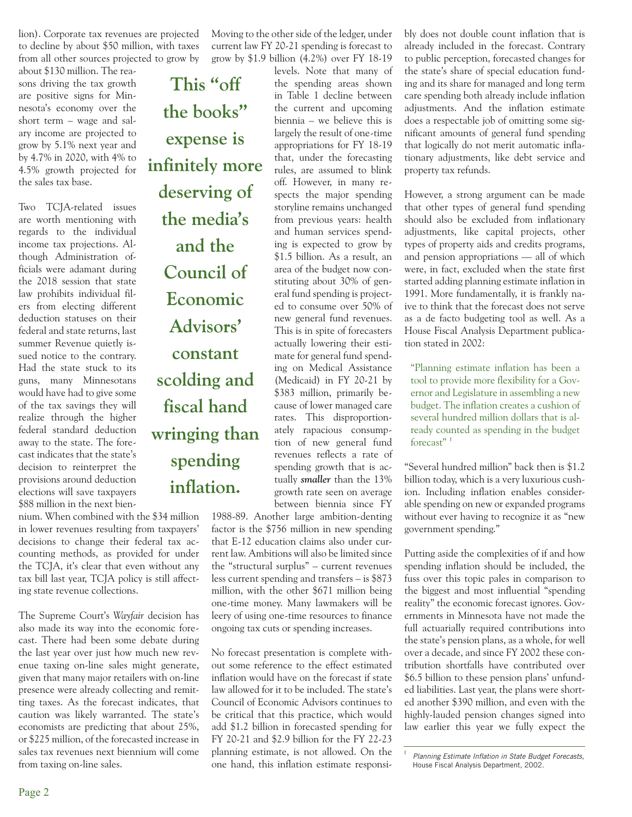lion). Corporate tax revenues are projected to decline by about \$50 million, with taxes from all other sources projected to grow by

about \$130 million. The reasons driving the tax growth are positive signs for Minnesota's economy over the short term – wage and salary income are projected to grow by 5.1% next year and by 4.7% in 2020, with 4% to 4.5% growth projected for the sales tax base.

Two TCJA-related issues are worth mentioning with regards to the individual income tax projections. Although Administration officials were adamant during the 2018 session that state law prohibits individual filers from electing different deduction statuses on their federal and state returns, last summer Revenue quietly issued notice to the contrary. Had the state stuck to its guns, many Minnesotans would have had to give some of the tax savings they will realize through the higher federal standard deduction away to the state. The forecast indicates that the state's decision to reinterpret the provisions around deduction elections will save taxpayers \$88 million in the next bien-

nium. When combined with the \$34 million in lower revenues resulting from taxpayers' decisions to change their federal tax accounting methods, as provided for under the TCJA, it's clear that even without any tax bill last year, TCJA policy is still affecting state revenue collections.

The Supreme Court's *Wayfair* decision has also made its way into the economic forecast. There had been some debate during the last year over just how much new revenue taxing on-line sales might generate, given that many major retailers with on-line presence were already collecting and remitting taxes. As the forecast indicates, that caution was likely warranted. The state's economists are predicting that about 25%, or \$225 million, of the forecasted increase in sales tax revenues next biennium will come from taxing on-line sales.

**This "off the books" expense is infinitely more deserving of the media's and the Council of Economic Advisors' constant scolding and fiscal hand wringing than spending inflation.**

Moving to the other side of the ledger, under current law FY 20-21 spending is forecast to grow by \$1.9 billion (4.2%) over FY 18-19

levels. Note that many of the spending areas shown in Table 1 decline between the current and upcoming biennia – we believe this is largely the result of one-time appropriations for FY 18-19 that, under the forecasting rules, are assumed to blink off. However, in many respects the major spending storyline remains unchanged from previous years: health and human services spending is expected to grow by \$1.5 billion. As a result, an area of the budget now constituting about 30% of general fund spending is projected to consume over 50% of new general fund revenues. This is in spite of forecasters actually lowering their estimate for general fund spending on Medical Assistance (Medicaid) in FY 20-21 by \$383 million, primarily because of lower managed care rates. This disproportionately rapacious consumption of new general fund revenues reflects a rate of spending growth that is actually *smaller* than the 13% growth rate seen on average between biennia since FY

1988-89. Another large ambition-denting factor is the \$756 million in new spending that E-12 education claims also under current law. Ambitions will also be limited since the "structural surplus" – current revenues less current spending and transfers – is \$873 million, with the other \$671 million being one-time money. Many lawmakers will be leery of using one-time resources to finance ongoing tax cuts or spending increases.

No forecast presentation is complete without some reference to the effect estimated inflation would have on the forecast if state law allowed for it to be included. The state's Council of Economic Advisors continues to be critical that this practice, which would add \$1.2 billion in forecasted spending for FY 20-21 and \$2.9 billion for the FY 22-23 planning estimate, is not allowed. On the one hand, this inflation estimate responsibly does not double count inflation that is already included in the forecast. Contrary to public perception, forecasted changes for the state's share of special education funding and its share for managed and long term care spending both already include inflation adjustments. And the inflation estimate does a respectable job of omitting some significant amounts of general fund spending that logically do not merit automatic inflationary adjustments, like debt service and property tax refunds.

However, a strong argument can be made that other types of general fund spending should also be excluded from inflationary adjustments, like capital projects, other types of property aids and credits programs, and pension appropriations — all of which were, in fact, excluded when the state first started adding planning estimate inflation in 1991. More fundamentally, it is frankly naive to think that the forecast does not serve as a de facto budgeting tool as well. As a House Fiscal Analysis Department publication stated in 2002:

"Planning estimate inflation has been a tool to provide more flexibility for a Governor and Legislature in assembling a new budget. The inflation creates a cushion of several hundred million dollars that is already counted as spending in the budget forecast"<sup>1</sup>

"Several hundred million" back then is \$1.2 billion today, which is a very luxurious cushion. Including inflation enables considerable spending on new or expanded programs without ever having to recognize it as "new government spending."

Putting aside the complexities of if and how spending inflation should be included, the fuss over this topic pales in comparison to the biggest and most influential "spending reality" the economic forecast ignores. Governments in Minnesota have not made the full actuarially required contributions into the state's pension plans, as a whole, for well over a decade, and since FY 2002 these contribution shortfalls have contributed over \$6.5 billion to these pension plans' unfunded liabilities. Last year, the plans were shorted another \$390 million, and even with the highly-lauded pension changes signed into law earlier this year we fully expect the

**Planning Estimate Inflation in State Budget Forecasts,** House Fiscal Analysis Department, 2002.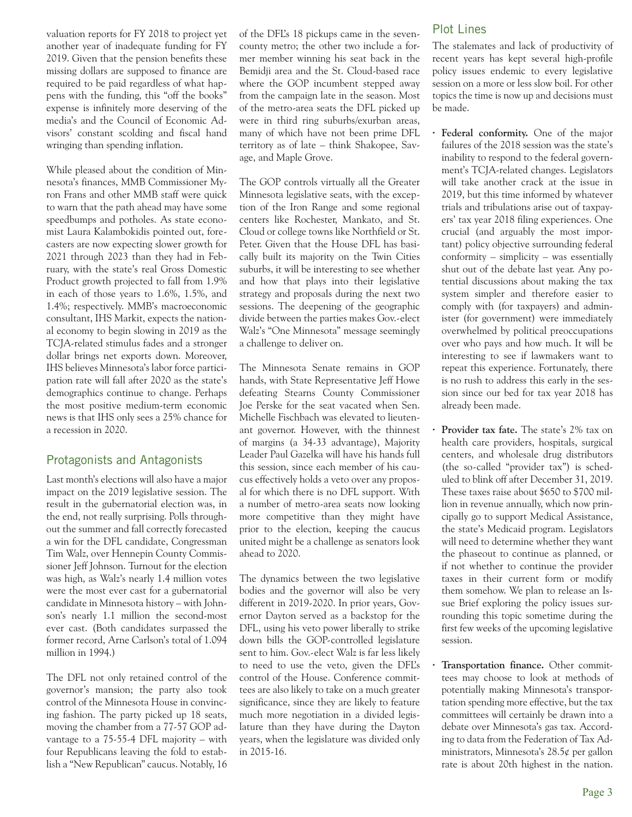valuation reports for FY 2018 to project yet another year of inadequate funding for FY 2019. Given that the pension benefits these missing dollars are supposed to finance are required to be paid regardless of what happens with the funding, this "off the books" expense is infinitely more deserving of the media's and the Council of Economic Advisors' constant scolding and fiscal hand wringing than spending inflation.

While pleased about the condition of Minnesota's finances, MMB Commissioner Myron Frans and other MMB staff were quick to warn that the path ahead may have some speedbumps and potholes. As state economist Laura Kalambokidis pointed out, forecasters are now expecting slower growth for 2021 through 2023 than they had in February, with the state's real Gross Domestic Product growth projected to fall from 1.9% in each of those years to 1.6%, 1.5%, and 1.4%; respectively. MMB's macroeconomic consultant, IHS Markit, expects the national economy to begin slowing in 2019 as the TCJA-related stimulus fades and a stronger dollar brings net exports down. Moreover, IHS believes Minnesota's labor force participation rate will fall after 2020 as the state's demographics continue to change. Perhaps the most positive medium-term economic news is that IHS only sees a 25% chance for a recession in 2020.

#### Protagonists and Antagonists

Last month's elections will also have a major impact on the 2019 legislative session. The result in the gubernatorial election was, in the end, not really surprising. Polls throughout the summer and fall correctly forecasted a win for the DFL candidate, Congressman Tim Walz, over Hennepin County Commissioner Jeff Johnson. Turnout for the election was high, as Walz's nearly 1.4 million votes were the most ever cast for a gubernatorial candidate in Minnesota history – with Johnson's nearly 1.1 million the second-most ever cast. (Both candidates surpassed the former record, Arne Carlson's total of 1.094 million in 1994.)

The DFL not only retained control of the governor's mansion; the party also took control of the Minnesota House in convincing fashion. The party picked up 18 seats, moving the chamber from a 77-57 GOP advantage to a 75-55-4 DFL majority – with four Republicans leaving the fold to establish a "New Republican" caucus. Notably, 16 of the DFL's 18 pickups came in the sevencounty metro; the other two include a former member winning his seat back in the Bemidji area and the St. Cloud-based race where the GOP incumbent stepped away from the campaign late in the season. Most of the metro-area seats the DFL picked up were in third ring suburbs/exurban areas, many of which have not been prime DFL territory as of late – think Shakopee, Savage, and Maple Grove.

The GOP controls virtually all the Greater Minnesota legislative seats, with the exception of the Iron Range and some regional centers like Rochester, Mankato, and St. Cloud or college towns like Northfield or St. Peter. Given that the House DFL has basically built its majority on the Twin Cities suburbs, it will be interesting to see whether and how that plays into their legislative strategy and proposals during the next two sessions. The deepening of the geographic divide between the parties makes Gov.-elect Walz's "One Minnesota" message seemingly a challenge to deliver on.

The Minnesota Senate remains in GOP hands, with State Representative Jeff Howe defeating Stearns County Commissioner Joe Perske for the seat vacated when Sen. Michelle Fischbach was elevated to lieutenant governor. However, with the thinnest of margins (a 34-33 advantage), Majority Leader Paul Gazelka will have his hands full this session, since each member of his caucus effectively holds a veto over any proposal for which there is no DFL support. With a number of metro-area seats now looking more competitive than they might have prior to the election, keeping the caucus united might be a challenge as senators look ahead to 2020.

The dynamics between the two legislative bodies and the governor will also be very different in 2019-2020. In prior years, Governor Dayton served as a backstop for the DFL, using his veto power liberally to strike down bills the GOP-controlled legislature sent to him. Gov.-elect Walz is far less likely to need to use the veto, given the DFL's control of the House. Conference committees are also likely to take on a much greater significance, since they are likely to feature much more negotiation in a divided legislature than they have during the Dayton years, when the legislature was divided only in 2015-16.

#### Plot Lines

The stalemates and lack of productivity of recent years has kept several high-profile policy issues endemic to every legislative session on a more or less slow boil. For other topics the time is now up and decisions must be made.

- **· Federal conformity.** One of the major failures of the 2018 session was the state's inability to respond to the federal government's TCJA-related changes. Legislators will take another crack at the issue in 2019, but this time informed by whatever trials and tribulations arise out of taxpayers' tax year 2018 filing experiences. One crucial (and arguably the most important) policy objective surrounding federal conformity – simplicity – was essentially shut out of the debate last year. Any potential discussions about making the tax system simpler and therefore easier to comply with (for taxpayers) and administer (for government) were immediately overwhelmed by political preoccupations over who pays and how much. It will be interesting to see if lawmakers want to repeat this experience. Fortunately, there is no rush to address this early in the session since our bed for tax year 2018 has already been made.
- **· Provider tax fate.** The state's 2% tax on health care providers, hospitals, surgical centers, and wholesale drug distributors (the so-called "provider tax") is scheduled to blink off after December 31, 2019. These taxes raise about \$650 to \$700 million in revenue annually, which now principally go to support Medical Assistance, the state's Medicaid program. Legislators will need to determine whether they want the phaseout to continue as planned, or if not whether to continue the provider taxes in their current form or modify them somehow. We plan to release an Issue Brief exploring the policy issues surrounding this topic sometime during the first few weeks of the upcoming legislative session.
- **· Transportation finance.** Other committees may choose to look at methods of potentially making Minnesota's transportation spending more effective, but the tax committees will certainly be drawn into a debate over Minnesota's gas tax. According to data from the Federation of Tax Administrators, Minnesota's  $28.5\ell$  per gallon rate is about 20th highest in the nation.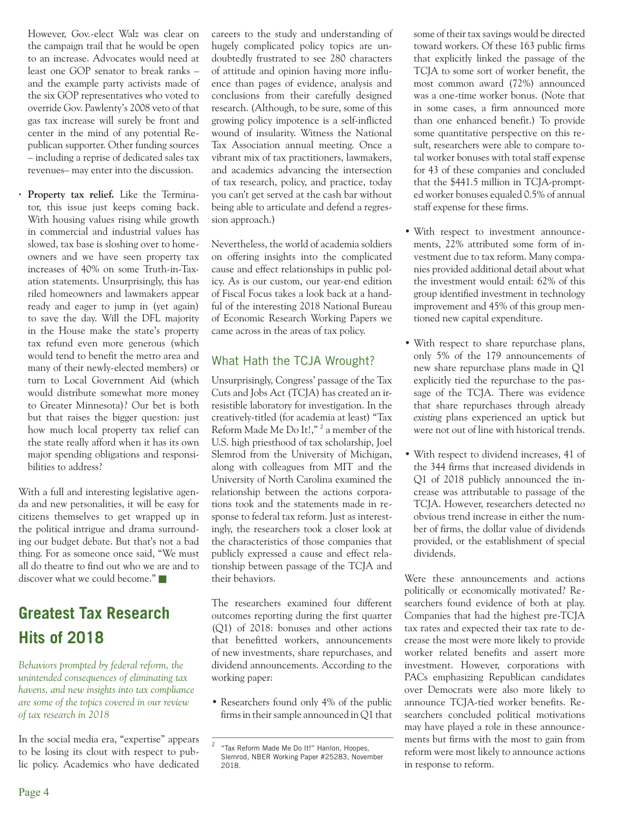However, Gov.-elect Walz was clear on the campaign trail that he would be open to an increase. Advocates would need at least one GOP senator to break ranks – and the example party activists made of the six GOP representatives who voted to override Gov. Pawlenty's 2008 veto of that gas tax increase will surely be front and center in the mind of any potential Republican supporter. Other funding sources – including a reprise of dedicated sales tax revenues– may enter into the discussion.

**· Property tax relief.** Like the Terminator, this issue just keeps coming back. With housing values rising while growth in commercial and industrial values has slowed, tax base is sloshing over to homeowners and we have seen property tax increases of 40% on some Truth-in-Taxation statements. Unsurprisingly, this has riled homeowners and lawmakers appear ready and eager to jump in (yet again) to save the day. Will the DFL majority in the House make the state's property tax refund even more generous (which would tend to benefit the metro area and many of their newly-elected members) or turn to Local Government Aid (which would distribute somewhat more money to Greater Minnesota)? Our bet is both but that raises the bigger question: just how much local property tax relief can the state really afford when it has its own major spending obligations and responsibilities to address?

With a full and interesting legislative agenda and new personalities, it will be easy for citizens themselves to get wrapped up in the political intrigue and drama surrounding our budget debate. But that's not a bad thing. For as someone once said, "We must all do theatre to find out who we are and to discover what we could become."

# **Greatest Tax Research Hits of 2018**

*Behaviors prompted by federal reform, the unintended consequences of eliminating tax havens, and new insights into tax compliance are some of the topics covered in our review of tax research in 2018* 

In the social media era, "expertise" appears to be losing its clout with respect to public policy. Academics who have dedicated

careers to the study and understanding of hugely complicated policy topics are undoubtedly frustrated to see 280 characters of attitude and opinion having more influence than pages of evidence, analysis and conclusions from their carefully designed research. (Although, to be sure, some of this growing policy impotence is a self-inflicted wound of insularity. Witness the National Tax Association annual meeting. Once a vibrant mix of tax practitioners, lawmakers, and academics advancing the intersection of tax research, policy, and practice, today you can't get served at the cash bar without being able to articulate and defend a regression approach.)

Nevertheless, the world of academia soldiers on offering insights into the complicated cause and effect relationships in public policy. As is our custom, our year-end edition of Fiscal Focus takes a look back at a handful of the interesting 2018 National Bureau of Economic Research Working Papers we came across in the areas of tax policy.

### What Hath the TCJA Wrought?

Unsurprisingly, Congress' passage of the Tax Cuts and Jobs Act (TCJA) has created an irresistible laboratory for investigation. In the creatively-titled (for academia at least) "Tax Reform Made Me Do It!,"<sup>2</sup> a member of the U.S. high priesthood of tax scholarship, Joel Slemrod from the University of Michigan, along with colleagues from MIT and the University of North Carolina examined the relationship between the actions corporations took and the statements made in response to federal tax reform. Just as interestingly, the researchers took a closer look at the characteristics of those companies that publicly expressed a cause and effect relationship between passage of the TCJA and their behaviors.

The researchers examined four different outcomes reporting during the first quarter (Q1) of 2018: bonuses and other actions that benefitted workers, announcements of new investments, share repurchases, and dividend announcements. According to the working paper:

• Researchers found only 4% of the public firms in their sample announced in Q1 that some of their tax savings would be directed toward workers. Of these 163 public firms that explicitly linked the passage of the TCJA to some sort of worker benefit, the most common award (72%) announced was a one-time worker bonus. (Note that in some cases, a firm announced more than one enhanced benefit.) To provide some quantitative perspective on this result, researchers were able to compare total worker bonuses with total staff expense for 43 of these companies and concluded that the \$441.5 million in TCJA-prompted worker bonuses equaled 0.5% of annual staff expense for these firms.

- With respect to investment announcements, 22% attributed some form of investment due to tax reform. Many companies provided additional detail about what the investment would entail: 62% of this group identified investment in technology improvement and 45% of this group mentioned new capital expenditure.
- With respect to share repurchase plans, only 5% of the 179 announcements of new share repurchase plans made in Q1 explicitly tied the repurchase to the passage of the TCJA. There was evidence that share repurchases through already *existing* plans experienced an uptick but were not out of line with historical trends.
- With respect to dividend increases, 41 of the 344 firms that increased dividends in Q1 of 2018 publicly announced the increase was attributable to passage of the TCJA. However, researchers detected no obvious trend increase in either the number of firms, the dollar value of dividends provided, or the establishment of special dividends.

Were these announcements and actions politically or economically motivated? Researchers found evidence of both at play. Companies that had the highest pre-TCJA tax rates and expected their tax rate to decrease the most were more likely to provide worker related benefits and assert more investment. However, corporations with PACs emphasizing Republican candidates over Democrats were also more likely to announce TCJA-tied worker benefits. Researchers concluded political motivations may have played a role in these announcements but firms with the most to gain from reform were most likely to announce actions in response to reform.

<sup>2</sup> "Tax Reform Made Me Do It!" Hanlon, Hoopes, Slemrod, NBER Working Paper #25283, November 2018.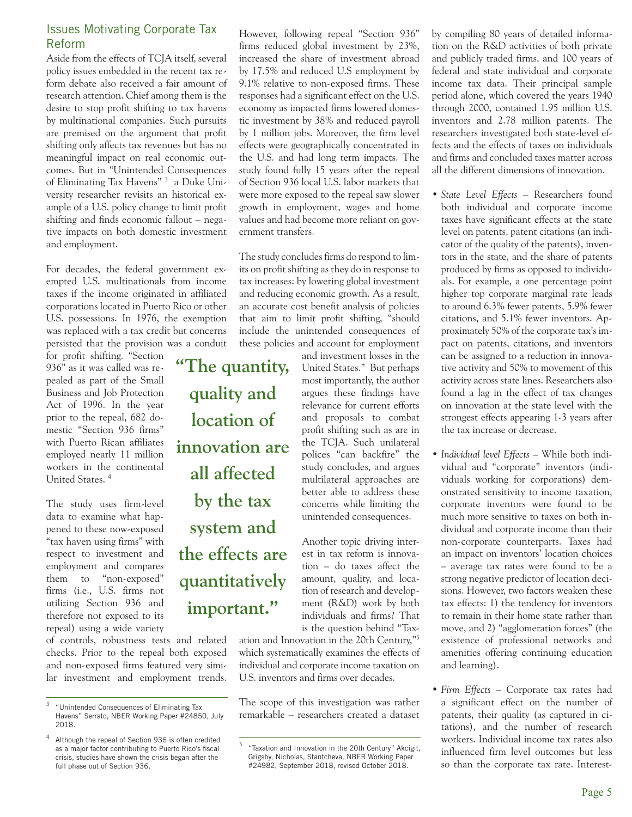#### Issues Motivating Corporate Tax Reform

Aside from the effects of TCJA itself, several policy issues embedded in the recent tax reform debate also received a fair amount of research attention. Chief among them is the desire to stop profit shifting to tax havens by multinational companies. Such pursuits are premised on the argument that profit shifting only affects tax revenues but has no meaningful impact on real economic outcomes. But in "Unintended Consequences of Eliminating Tax Havens"<sup>3</sup> a Duke University researcher revisits an historical example of a U.S. policy change to limit profit shifting and finds economic fallout – negative impacts on both domestic investment and employment.

For decades, the federal government exempted U.S. multinationals from income taxes if the income originated in affiliated corporations located in Puerto Rico or other U.S. possessions. In 1976, the exemption was replaced with a tax credit but concerns persisted that the provision was a conduit

for profit shifting. "Section 936" as it was called was repealed as part of the Small Business and Job Protection Act of 1996. In the year prior to the repeal, 682 domestic "Section 936 firms" with Puerto Rican affiliates employed nearly 11 million workers in the continental United States. <sup>4</sup>

The study uses firm-level data to examine what happened to these now-exposed "tax haven using firms" with respect to investment and employment and compares them to "non-exposed" firms (i.e., U.S. firms not utilizing Section 936 and therefore not exposed to its repeal) using a wide variety

of controls, robustness tests and related checks. Prior to the repeal both exposed and non-exposed firms featured very similar investment and employment trends.

However, following repeal "Section 936" firms reduced global investment by 23%, increased the share of investment abroad by 17.5% and reduced U.S employment by 9.1% relative to non-exposed firms. These responses had a significant effect on the U.S. economy as impacted firms lowered domestic investment by 38% and reduced payroll by 1 million jobs. Moreover, the firm level effects were geographically concentrated in the U.S. and had long term impacts. The study found fully 15 years after the repeal of Section 936 local U.S. labor markets that were more exposed to the repeal saw slower growth in employment, wages and home values and had become more reliant on government transfers.

The study concludes firms do respond to limits on profit shifting as they do in response to tax increases: by lowering global investment and reducing economic growth. As a result, an accurate cost benefit analysis of policies that aim to limit profit shifting, "should include the unintended consequences of these policies and account for employment

unintended consequences. **"The quantity, quality and location of innovation are all affected by the tax system and the effects are quantitatively important."** 

and investment losses in the United States." But perhaps most importantly, the author argues these findings have relevance for current efforts and proposals to combat profit shifting such as are in the TCJA. Such unilateral polices "can backfire" the study concludes, and argues multilateral approaches are better able to address these concerns while limiting the

Another topic driving interest in tax reform is innovation – do taxes affect the amount, quality, and location of research and development (R&D) work by both individuals and firms? That is the question behind "Tax-

ation and Innovation in the 20th Century,"<sup>5</sup> which systematically examines the effects of individual and corporate income taxation on U.S. inventors and firms over decades.

The scope of this investigation was rather remarkable – researchers created a dataset by compiling 80 years of detailed information on the R&D activities of both private and publicly traded firms, and 100 years of federal and state individual and corporate income tax data. Their principal sample period alone, which covered the years 1940 through 2000, contained 1.95 million U.S. inventors and 2.78 million patents. The researchers investigated both state-level effects and the effects of taxes on individuals and firms and concluded taxes matter across all the different dimensions of innovation.

- • *State Level Effects*  Researchers found both individual and corporate income taxes have significant effects at the state level on patents, patent citations (an indicator of the quality of the patents), inventors in the state, and the share of patents produced by firms as opposed to individuals. For example, a one percentage point higher top corporate marginal rate leads to around 6.3% fewer patents, 5.9% fewer citations, and 5.1% fewer inventors. Approximately 50% of the corporate tax's impact on patents, citations, and inventors can be assigned to a reduction in innovative activity and 50% to movement of this activity across state lines. Researchers also found a lag in the effect of tax changes on innovation at the state level with the strongest effects appearing 1-3 years after the tax increase or decrease.
- • *Individual level Effects*  While both individual and "corporate" inventors (individuals working for corporations) demonstrated sensitivity to income taxation, corporate inventors were found to be much more sensitive to taxes on both individual and corporate income than their non-corporate counterparts. Taxes had an impact on inventors' location choices – average tax rates were found to be a strong negative predictor of location decisions. However, two factors weaken these tax effects: 1) the tendency for inventors to remain in their home state rather than move, and 2) "agglomeration forces" (the existence of professional networks and amenities offering continuing education and learning).
- *Firm Effects* Corporate tax rates had a significant effect on the number of patents, their quality (as captured in citations), and the number of research workers. Individual income tax rates also influenced firm level outcomes but less so than the corporate tax rate. Interest-

<sup>3</sup> "Unintended Consequences of Eliminating Tax Havens" Serrato, NBER Working Paper #24850, July 2018.

Although the repeal of Section 936 is often credited as a major factor contributing to Puerto Rico's fiscal crisis, studies have shown the crisis began after the full phase out of Section 936.

<sup>5</sup> "Taxation and Innovation in the 20th Century" Akcigit, Grigsby, Nicholas, Stantcheva, NBER Working Paper #24982, September 2018, revised October 2018.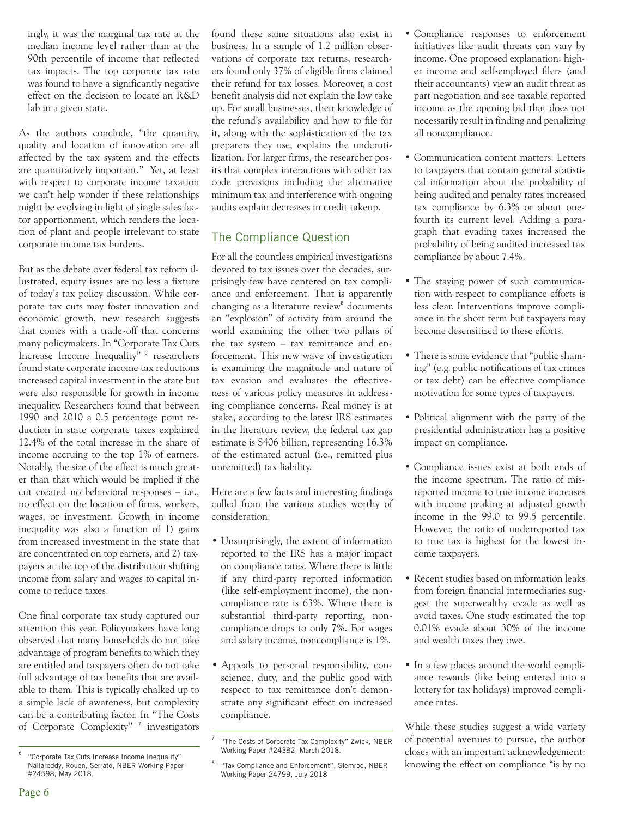ingly, it was the marginal tax rate at the median income level rather than at the 90th percentile of income that reflected tax impacts. The top corporate tax rate was found to have a significantly negative effect on the decision to locate an R&D lab in a given state.

As the authors conclude, "the quantity, quality and location of innovation are all affected by the tax system and the effects are quantitatively important." Yet, at least with respect to corporate income taxation we can't help wonder if these relationships might be evolving in light of single sales factor apportionment, which renders the location of plant and people irrelevant to state corporate income tax burdens.

But as the debate over federal tax reform illustrated, equity issues are no less a fixture of today's tax policy discussion. While corporate tax cuts may foster innovation and economic growth, new research suggests that comes with a trade-off that concerns many policymakers. In "Corporate Tax Cuts Increase Income Inequality" <sup>6</sup> researchers found state corporate income tax reductions increased capital investment in the state but were also responsible for growth in income inequality. Researchers found that between 1990 and 2010 a 0.5 percentage point reduction in state corporate taxes explained 12.4% of the total increase in the share of income accruing to the top 1% of earners. Notably, the size of the effect is much greater than that which would be implied if the cut created no behavioral responses – i.e., no effect on the location of firms, workers, wages, or investment. Growth in income inequality was also a function of 1) gains from increased investment in the state that are concentrated on top earners, and 2) taxpayers at the top of the distribution shifting income from salary and wages to capital income to reduce taxes.

One final corporate tax study captured our attention this year. Policymakers have long observed that many households do not take advantage of program benefits to which they are entitled and taxpayers often do not take full advantage of tax benefits that are available to them. This is typically chalked up to a simple lack of awareness, but complexity can be a contributing factor. In "The Costs of Corporate Complexity"<sup>7</sup> investigators found these same situations also exist in business. In a sample of 1.2 million observations of corporate tax returns, researchers found only 37% of eligible firms claimed their refund for tax losses. Moreover, a cost benefit analysis did not explain the low take up. For small businesses, their knowledge of the refund's availability and how to file for it, along with the sophistication of the tax preparers they use, explains the underutilization. For larger firms, the researcher posits that complex interactions with other tax code provisions including the alternative minimum tax and interference with ongoing audits explain decreases in credit takeup.

#### The Compliance Question

For all the countless empirical investigations devoted to tax issues over the decades, surprisingly few have centered on tax compliance and enforcement. That is apparently changing as a literature review<sup>8</sup> documents an "explosion" of activity from around the world examining the other two pillars of the tax system – tax remittance and enforcement. This new wave of investigation is examining the magnitude and nature of tax evasion and evaluates the effectiveness of various policy measures in addressing compliance concerns. Real money is at stake; according to the latest IRS estimates in the literature review, the federal tax gap estimate is \$406 billion, representing 16.3% of the estimated actual (i.e., remitted plus unremitted) tax liability.

Here are a few facts and interesting findings culled from the various studies worthy of consideration:

- Unsurprisingly, the extent of information reported to the IRS has a major impact on compliance rates. Where there is little if any third-party reported information (like self-employment income), the noncompliance rate is 63%. Where there is substantial third-party reporting, noncompliance drops to only 7%. For wages and salary income, noncompliance is 1%.
- Appeals to personal responsibility, conscience, duty, and the public good with respect to tax remittance don't demonstrate any significant effect on increased compliance.
- Compliance responses to enforcement initiatives like audit threats can vary by income. One proposed explanation: higher income and self-employed filers (and their accountants) view an audit threat as part negotiation and see taxable reported income as the opening bid that does not necessarily result in finding and penalizing all noncompliance.
- Communication content matters. Letters to taxpayers that contain general statistical information about the probability of being audited and penalty rates increased tax compliance by 6.3% or about onefourth its current level. Adding a paragraph that evading taxes increased the probability of being audited increased tax compliance by about 7.4%.
- The staying power of such communication with respect to compliance efforts is less clear. Interventions improve compliance in the short term but taxpayers may become desensitized to these efforts.
- There is some evidence that "public shaming" (e.g. public notifications of tax crimes or tax debt) can be effective compliance motivation for some types of taxpayers.
- Political alignment with the party of the presidential administration has a positive impact on compliance.
- Compliance issues exist at both ends of the income spectrum. The ratio of misreported income to true income increases with income peaking at adjusted growth income in the 99.0 to 99.5 percentile. However, the ratio of underreported tax to true tax is highest for the lowest income taxpayers.
- Recent studies based on information leaks from foreign financial intermediaries suggest the superwealthy evade as well as avoid taxes. One study estimated the top 0.01% evade about 30% of the income and wealth taxes they owe.
- In a few places around the world compliance rewards (like being entered into a lottery for tax holidays) improved compliance rates.

While these studies suggest a wide variety of potential avenues to pursue, the author closes with an important acknowledgement: knowing the effect on compliance "is by no

<sup>6</sup> "Corporate Tax Cuts Increase Income Inequality" Nallareddy, Rouen, Serrato, NBER Working Paper #24598, May 2018.

<sup>&</sup>quot;The Costs of Corporate Tax Complexity" Zwick, NBER Working Paper #24382, March 2018.

<sup>8</sup> "Tax Compliance and Enforcement", Slemrod, NBER Working Paper 24799, July 2018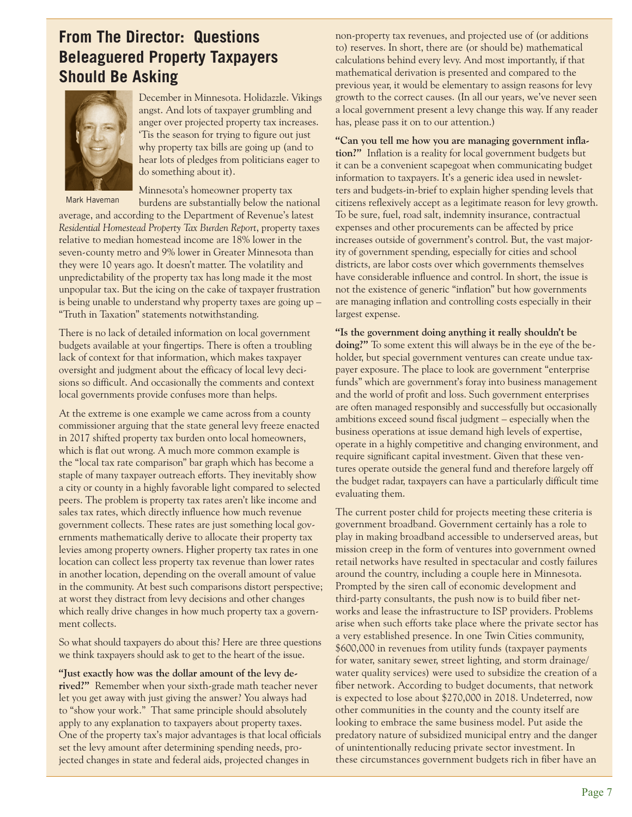## **From The Director: Questions Beleaguered Property Taxpayers Should Be Asking**



Mark Haveman

December in Minnesota. Holidazzle. Vikings angst. And lots of taxpayer grumbling and anger over projected property tax increases. 'Tis the season for trying to figure out just why property tax bills are going up (and to hear lots of pledges from politicians eager to do something about it).

Minnesota's homeowner property tax burdens are substantially below the national

average, and according to the Department of Revenue's latest *Residential Homestead Property Tax Burden Report*, property taxes relative to median homestead income are 18% lower in the seven-county metro and 9% lower in Greater Minnesota than they were 10 years ago. It doesn't matter. The volatility and unpredictability of the property tax has long made it the most unpopular tax. But the icing on the cake of taxpayer frustration is being unable to understand why property taxes are going up – "Truth in Taxation" statements notwithstanding.

There is no lack of detailed information on local government budgets available at your fingertips. There is often a troubling lack of context for that information, which makes taxpayer oversight and judgment about the efficacy of local levy decisions so difficult. And occasionally the comments and context local governments provide confuses more than helps.

At the extreme is one example we came across from a county commissioner arguing that the state general levy freeze enacted in 2017 shifted property tax burden onto local homeowners, which is flat out wrong. A much more common example is the "local tax rate comparison" bar graph which has become a staple of many taxpayer outreach efforts. They inevitably show a city or county in a highly favorable light compared to selected peers. The problem is property tax rates aren't like income and sales tax rates, which directly influence how much revenue government collects. These rates are just something local governments mathematically derive to allocate their property tax levies among property owners. Higher property tax rates in one location can collect less property tax revenue than lower rates in another location, depending on the overall amount of value in the community. At best such comparisons distort perspective; at worst they distract from levy decisions and other changes which really drive changes in how much property tax a government collects.

So what should taxpayers do about this? Here are three questions we think taxpayers should ask to get to the heart of the issue.

**"Just exactly how was the dollar amount of the levy derived?"** Remember when your sixth-grade math teacher never let you get away with just giving the answer? You always had to "show your work." That same principle should absolutely apply to any explanation to taxpayers about property taxes. One of the property tax's major advantages is that local officials set the levy amount after determining spending needs, projected changes in state and federal aids, projected changes in

non-property tax revenues, and projected use of (or additions to) reserves. In short, there are (or should be) mathematical calculations behind every levy. And most importantly, if that mathematical derivation is presented and compared to the previous year, it would be elementary to assign reasons for levy growth to the correct causes. (In all our years, we've never seen a local government present a levy change this way. If any reader has, please pass it on to our attention.)

**"Can you tell me how you are managing government inflation?"** Inflation is a reality for local government budgets but it can be a convenient scapegoat when communicating budget information to taxpayers. It's a generic idea used in newsletters and budgets-in-brief to explain higher spending levels that citizens reflexively accept as a legitimate reason for levy growth. To be sure, fuel, road salt, indemnity insurance, contractual expenses and other procurements can be affected by price increases outside of government's control. But, the vast majority of government spending, especially for cities and school districts, are labor costs over which governments themselves have considerable influence and control. In short, the issue is not the existence of generic "inflation" but how governments are managing inflation and controlling costs especially in their largest expense.

**"Is the government doing anything it really shouldn't be doing?"** To some extent this will always be in the eye of the beholder, but special government ventures can create undue taxpayer exposure. The place to look are government "enterprise funds" which are government's foray into business management and the world of profit and loss. Such government enterprises are often managed responsibly and successfully but occasionally ambitions exceed sound fiscal judgment – especially when the business operations at issue demand high levels of expertise, operate in a highly competitive and changing environment, and require significant capital investment. Given that these ventures operate outside the general fund and therefore largely off the budget radar, taxpayers can have a particularly difficult time evaluating them.

The current poster child for projects meeting these criteria is government broadband. Government certainly has a role to play in making broadband accessible to underserved areas, but mission creep in the form of ventures into government owned retail networks have resulted in spectacular and costly failures around the country, including a couple here in Minnesota. Prompted by the siren call of economic development and third-party consultants, the push now is to build fiber networks and lease the infrastructure to ISP providers. Problems arise when such efforts take place where the private sector has a very established presence. In one Twin Cities community, \$600,000 in revenues from utility funds (taxpayer payments for water, sanitary sewer, street lighting, and storm drainage/ water quality services) were used to subsidize the creation of a fiber network. According to budget documents, that network is expected to lose about \$270,000 in 2018. Undeterred, now other communities in the county and the county itself are looking to embrace the same business model. Put aside the predatory nature of subsidized municipal entry and the danger of unintentionally reducing private sector investment. In these circumstances government budgets rich in fiber have an